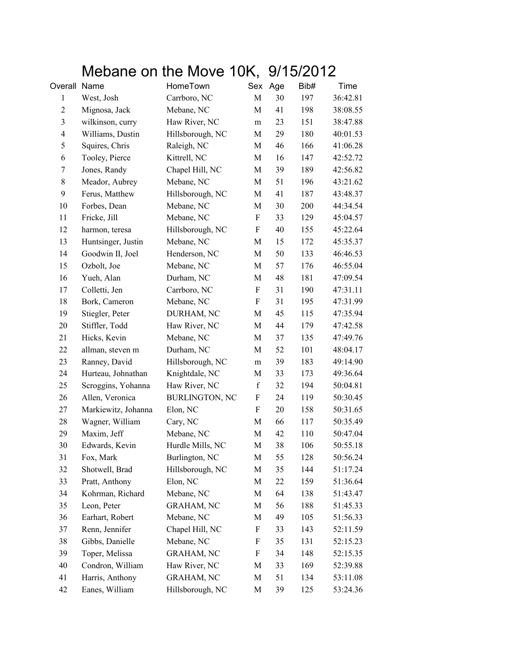## Mebane on the Move 10K, 9/15/2012

| Overall Name   |                     | HomeTown              | Sex                       | Age | Bib# | Time     |
|----------------|---------------------|-----------------------|---------------------------|-----|------|----------|
| $\mathbf{1}$   | West, Josh          | Carrboro, NC          | M                         | 30  | 197  | 36:42.81 |
| $\sqrt{2}$     | Mignosa, Jack       | Mebane, NC            | M                         | 41  | 198  | 38:08.55 |
| $\mathfrak{Z}$ | wilkinson, curry    | Haw River, NC         | m                         | 23  | 151  | 38:47.88 |
| $\overline{4}$ | Williams, Dustin    | Hillsborough, NC      | M                         | 29  | 180  | 40:01.53 |
| 5              | Squires, Chris      | Raleigh, NC           | M                         | 46  | 166  | 41:06.28 |
| 6              | Tooley, Pierce      | Kittrell, NC          | M                         | 16  | 147  | 42:52.72 |
| 7              | Jones, Randy        | Chapel Hill, NC       | $\mathbf M$               | 39  | 189  | 42:56.82 |
| $8\,$          | Meador, Aubrey      | Mebane, NC            | M                         | 51  | 196  | 43:21.62 |
| 9              | Ferus, Matthew      | Hillsborough, NC      | M                         | 41  | 187  | 43:48.37 |
| 10             | Forbes, Dean        | Mebane, NC            | $\mathbf M$               | 30  | 200  | 44:34.54 |
| 11             | Fricke, Jill        | Mebane, NC            | F                         | 33  | 129  | 45:04.57 |
| 12             | harmon, teresa      | Hillsborough, NC      | F                         | 40  | 155  | 45:22.64 |
| 13             | Huntsinger, Justin  | Mebane, NC            | M                         | 15  | 172  | 45:35.37 |
| 14             | Goodwin II, Joel    | Henderson, NC         | M                         | 50  | 133  | 46:46.53 |
| 15             | Ozbolt, Joe         | Mebane, NC            | $\mathbf M$               | 57  | 176  | 46:55.04 |
| 16             | Yueh, Alan          | Durham, NC            | M                         | 48  | 181  | 47:09.54 |
| 17             | Colletti, Jen       | Carrboro, NC          | F                         | 31  | 190  | 47:31.11 |
| 18             | Bork, Cameron       | Mebane, NC            | F                         | 31  | 195  | 47:31.99 |
| 19             | Stiegler, Peter     | DURHAM, NC            | M                         | 45  | 115  | 47:35.94 |
| 20             | Stiffler, Todd      | Haw River, NC         | M                         | 44  | 179  | 47:42.58 |
| 21             | Hicks, Kevin        | Mebane, NC            | M                         | 37  | 135  | 47:49.76 |
| 22             | allman, steven m    | Durham, NC            | M                         | 52  | 101  | 48:04.17 |
| 23             | Ranney, David       | Hillsborough, NC      | m                         | 39  | 183  | 49:14.90 |
| 24             | Hurteau, Johnathan  | Knightdale, NC        | M                         | 33  | 173  | 49:36.64 |
| 25             | Scroggins, Yohanna  | Haw River, NC         | $\mathbf f$               | 32  | 194  | 50:04.81 |
| 26             | Allen, Veronica     | <b>BURLINGTON, NC</b> | $\boldsymbol{\mathrm{F}}$ | 24  | 119  | 50:30.45 |
| 27             | Markiewitz, Johanna | Elon, NC              | F                         | 20  | 158  | 50:31.65 |
| 28             | Wagner, William     | Cary, NC              | M                         | 66  | 117  | 50:35.49 |
| 29             | Maxim, Jeff         | Mebane, NC            | $\mathbf M$               | 42  | 110  | 50:47.04 |
| 30             | Edwards, Kevin      | Hurdle Mills, NC      | M                         | 38  | 106  | 50:55.18 |
| 31             | Fox, Mark           | Burlington, NC        | М                         | 55  | 128  | 50:56.24 |
| 32             | Shotwell, Brad      | Hillsborough, NC      | M                         | 35  | 144  | 51:17.24 |
| 33             | Pratt, Anthony      | Elon, NC              | M                         | 22  | 159  | 51:36.64 |
| 34             | Kohrman, Richard    | Mebane, NC            | M                         | 64  | 138  | 51:43.47 |
| 35             | Leon, Peter         | <b>GRAHAM, NC</b>     | M                         | 56  | 188  | 51:45.33 |
| 36             | Earhart, Robert     | Mebane, NC            | M                         | 49  | 105  | 51:56.33 |
| 37             | Renn, Jennifer      | Chapel Hill, NC       | F                         | 33  | 143  | 52:11.59 |
| 38             | Gibbs, Danielle     | Mebane, NC            | F                         | 35  | 131  | 52:15.23 |
| 39             | Toper, Melissa      | <b>GRAHAM, NC</b>     | F                         | 34  | 148  | 52:15.35 |
| 40             | Condron, William    | Haw River, NC         | M                         | 33  | 169  | 52:39.88 |
| 41             | Harris, Anthony     | <b>GRAHAM, NC</b>     | M                         | 51  | 134  | 53:11.08 |
| 42             | Eanes, William      | Hillsborough, NC      | M                         | 39  | 125  | 53:24.36 |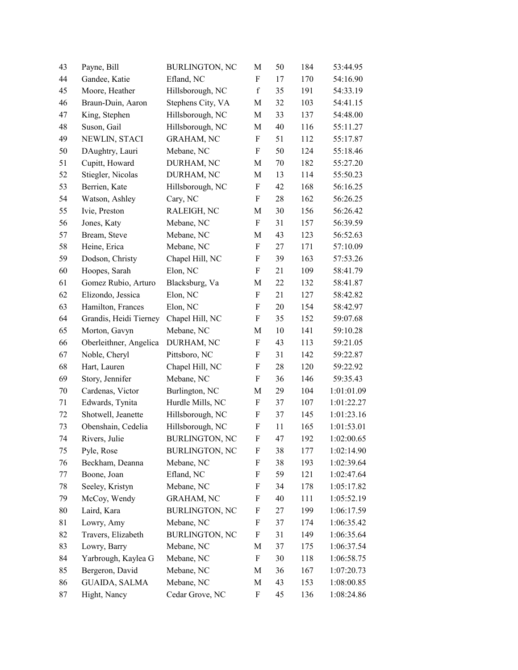| 43 | Payne, Bill            | <b>BURLINGTON, NC</b> | М                         | 50 | 184 | 53:44.95   |
|----|------------------------|-----------------------|---------------------------|----|-----|------------|
| 44 | Gandee, Katie          | Efland, NC            | F                         | 17 | 170 | 54:16.90   |
| 45 | Moore, Heather         | Hillsborough, NC      | $\mathbf f$               | 35 | 191 | 54:33.19   |
| 46 | Braun-Duin, Aaron      | Stephens City, VA     | M                         | 32 | 103 | 54:41.15   |
| 47 | King, Stephen          | Hillsborough, NC      | M                         | 33 | 137 | 54:48.00   |
| 48 | Suson, Gail            | Hillsborough, NC      | M                         | 40 | 116 | 55:11.27   |
| 49 | NEWLIN, STACI          | <b>GRAHAM, NC</b>     | F                         | 51 | 112 | 55:17.87   |
| 50 | DAughtry, Lauri        | Mebane, NC            | $\boldsymbol{\mathrm{F}}$ | 50 | 124 | 55:18.46   |
| 51 | Cupitt, Howard         | DURHAM, NC            | M                         | 70 | 182 | 55:27.20   |
| 52 | Stiegler, Nicolas      | DURHAM, NC            | M                         | 13 | 114 | 55:50.23   |
| 53 | Berrien, Kate          | Hillsborough, NC      | $\boldsymbol{\mathrm{F}}$ | 42 | 168 | 56:16.25   |
| 54 | Watson, Ashley         | Cary, NC              | F                         | 28 | 162 | 56:26.25   |
| 55 | Ivie, Preston          | RALEIGH, NC           | M                         | 30 | 156 | 56:26.42   |
| 56 | Jones, Katy            | Mebane, NC            | F                         | 31 | 157 | 56:39.59   |
| 57 | Bream, Steve           | Mebane, NC            | M                         | 43 | 123 | 56:52.63   |
| 58 | Heine, Erica           | Mebane, NC            | F                         | 27 | 171 | 57:10.09   |
| 59 | Dodson, Christy        | Chapel Hill, NC       | F                         | 39 | 163 | 57:53.26   |
| 60 | Hoopes, Sarah          | Elon, NC              | F                         | 21 | 109 | 58:41.79   |
| 61 | Gomez Rubio, Arturo    | Blacksburg, Va        | M                         | 22 | 132 | 58:41.87   |
| 62 | Elizondo, Jessica      | Elon, NC              | $\boldsymbol{\mathrm{F}}$ | 21 | 127 | 58:42.82   |
| 63 | Hamilton, Frances      | Elon, NC              | F                         | 20 | 154 | 58:42.97   |
| 64 | Grandis, Heidi Tierney | Chapel Hill, NC       | $\boldsymbol{\mathrm{F}}$ | 35 | 152 | 59:07.68   |
| 65 | Morton, Gavyn          | Mebane, NC            | M                         | 10 | 141 | 59:10.28   |
| 66 | Oberleithner, Angelica | DURHAM, NC            | F                         | 43 | 113 | 59:21.05   |
| 67 | Noble, Cheryl          | Pittsboro, NC         | $\boldsymbol{\mathrm{F}}$ | 31 | 142 | 59:22.87   |
| 68 | Hart, Lauren           | Chapel Hill, NC       | F                         | 28 | 120 | 59:22.92   |
| 69 | Story, Jennifer        | Mebane, NC            | F                         | 36 | 146 | 59:35.43   |
| 70 | Cardenas, Victor       | Burlington, NC        | M                         | 29 | 104 | 1:01:01.09 |
| 71 | Edwards, Tynita        | Hurdle Mills, NC      | F                         | 37 | 107 | 1:01:22.27 |
| 72 | Shotwell, Jeanette     | Hillsborough, NC      | F                         | 37 | 145 | 1:01:23.16 |
| 73 | Obenshain, Cedelia     | Hillsborough, NC      | $\boldsymbol{\mathrm{F}}$ | 11 | 165 | 1:01:53.01 |
| 74 | Rivers, Julie          | <b>BURLINGTON, NC</b> | F                         | 47 | 192 | 1:02:00.65 |
| 75 | Pyle, Rose             | <b>BURLINGTON, NC</b> | F                         | 38 | 177 | 1:02:14.90 |
| 76 | Beckham, Deanna        | Mebane, NC            | F                         | 38 | 193 | 1:02:39.64 |
| 77 | Boone, Joan            | Efland, NC            | F                         | 59 | 121 | 1:02:47.64 |
| 78 | Seeley, Kristyn        | Mebane, NC            | F                         | 34 | 178 | 1:05:17.82 |
| 79 | McCoy, Wendy           | <b>GRAHAM, NC</b>     | F                         | 40 | 111 | 1:05:52.19 |
| 80 | Laird, Kara            | <b>BURLINGTON, NC</b> | F                         | 27 | 199 | 1:06:17.59 |
| 81 | Lowry, Amy             | Mebane, NC            | F                         | 37 | 174 | 1:06:35.42 |
| 82 | Travers, Elizabeth     | <b>BURLINGTON, NC</b> | F                         | 31 | 149 | 1:06:35.64 |
| 83 | Lowry, Barry           | Mebane, NC            | M                         | 37 | 175 | 1:06:37.54 |
| 84 | Yarbrough, Kaylea G    | Mebane, NC            | F                         | 30 | 118 | 1:06:58.75 |
| 85 | Bergeron, David        | Mebane, NC            | M                         | 36 | 167 | 1:07:20.73 |
| 86 | <b>GUAIDA, SALMA</b>   | Mebane, NC            | M                         | 43 | 153 | 1:08:00.85 |
| 87 | Hight, Nancy           | Cedar Grove, NC       | F                         | 45 | 136 | 1:08:24.86 |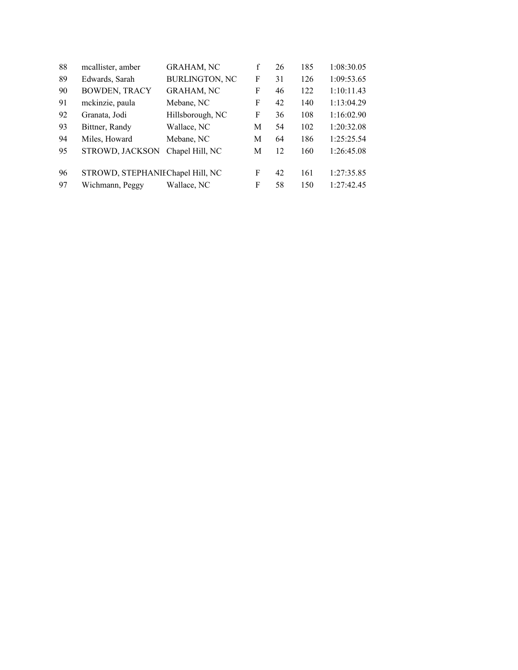| mcallister, amber    | <b>GRAHAM, NC</b>     | $\mathbf f$                      | 26 | 185 | 1:08:30.05 |
|----------------------|-----------------------|----------------------------------|----|-----|------------|
| Edwards, Sarah       | <b>BURLINGTON, NC</b> | F                                | 31 | 126 | 1:09:53.65 |
| <b>BOWDEN, TRACY</b> | <b>GRAHAM, NC</b>     | F                                | 46 | 122 | 1:10:11.43 |
| mckinzie, paula      | Mebane, NC            | F                                | 42 | 140 | 1:13:04.29 |
| Granata, Jodi        | Hillsborough, NC      | F                                | 36 | 108 | 1:16:02.90 |
| Bittner, Randy       | Wallace, NC           | М                                | 54 | 102 | 1:20:32.08 |
| Miles, Howard        | Mebane, NC            | М                                | 64 | 186 | 1:25:25.54 |
| STROWD, JACKSON      | Chapel Hill, NC       | M                                | 12 | 160 | 1:26:45.08 |
|                      |                       | F                                | 42 | 161 | 1:27:35.85 |
| Wichmann, Peggy      | Wallace, NC           | F                                | 58 | 150 | 1:27:42.45 |
|                      |                       | STROWD, STEPHANIEChapel Hill, NC |    |     |            |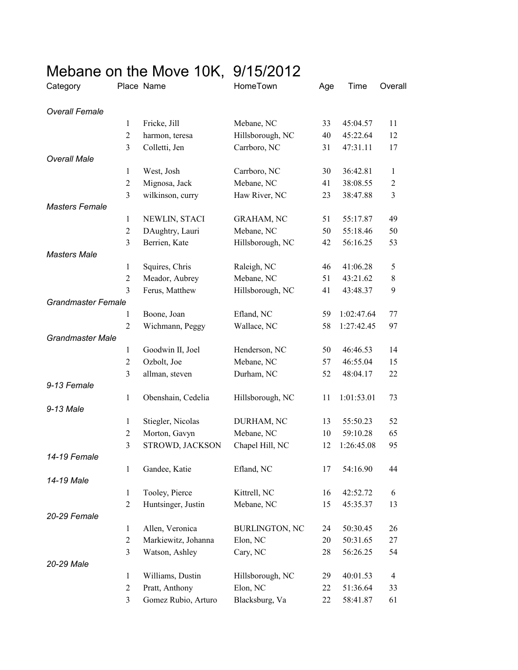|                           |                  | Mebane on the Move 10K, 9/15/2012 |                       |     |            |                |
|---------------------------|------------------|-----------------------------------|-----------------------|-----|------------|----------------|
| Category                  |                  | Place Name                        | HomeTown              | Age | Time       | Overall        |
| <b>Overall Female</b>     |                  |                                   |                       |     |            |                |
|                           | 1                | Fricke, Jill                      | Mebane, NC            | 33  | 45:04.57   | 11             |
|                           | $\overline{2}$   | harmon, teresa                    | Hillsborough, NC      | 40  | 45:22.64   | 12             |
|                           | 3                | Colletti, Jen                     | Carrboro, NC          | 31  | 47:31.11   | 17             |
| <b>Overall Male</b>       |                  |                                   |                       |     |            |                |
|                           | $\mathbf{1}$     | West, Josh                        | Carrboro, NC          | 30  | 36:42.81   | 1              |
|                           | $\overline{2}$   | Mignosa, Jack                     | Mebane, NC            | 41  | 38:08.55   | $\overline{2}$ |
|                           | 3                | wilkinson, curry                  | Haw River, NC         | 23  | 38:47.88   | 3              |
| <b>Masters Female</b>     |                  |                                   |                       |     |            |                |
|                           | $\mathbf{1}$     | NEWLIN, STACI                     | <b>GRAHAM, NC</b>     | 51  | 55:17.87   | 49             |
|                           | $\overline{2}$   | DAughtry, Lauri                   | Mebane, NC            | 50  | 55:18.46   | 50             |
|                           | 3                | Berrien, Kate                     | Hillsborough, NC      | 42  | 56:16.25   | 53             |
| <b>Masters Male</b>       |                  |                                   |                       |     |            |                |
|                           | $\mathbf{1}$     | Squires, Chris                    | Raleigh, NC           | 46  | 41:06.28   | 5              |
|                           | $\overline{2}$   | Meador, Aubrey                    | Mebane, NC            | 51  | 43:21.62   | $8\,$          |
|                           | 3                | Ferus, Matthew                    | Hillsborough, NC      | 41  | 43:48.37   | 9              |
| <b>Grandmaster Female</b> |                  |                                   |                       |     |            |                |
|                           | 1                | Boone, Joan                       | Efland, NC            | 59  | 1:02:47.64 | 77             |
|                           | $\overline{2}$   | Wichmann, Peggy                   | Wallace, NC           | 58  | 1:27:42.45 | 97             |
| <b>Grandmaster Male</b>   |                  |                                   |                       |     |            |                |
|                           | $\mathbf{1}$     | Goodwin II, Joel                  | Henderson, NC         | 50  | 46:46.53   | 14             |
|                           | $\overline{2}$   | Ozbolt, Joe                       | Mebane, NC            | 57  | 46:55.04   | 15             |
|                           | 3                | allman, steven                    | Durham, NC            | 52  | 48:04.17   | 22             |
| 9-13 Female               |                  |                                   |                       |     |            |                |
|                           | 1                | Obenshain, Cedelia                | Hillsborough, NC      | 11  | 1:01:53.01 | 73             |
| 9-13 Male                 |                  |                                   |                       |     |            |                |
|                           | $\mathbf{1}$     | Stiegler, Nicolas                 | DURHAM, NC            | 13  | 55:50.23   | 52             |
|                           | $\overline{2}$   | Morton, Gavyn                     | Mebane, NC            | 10  | 59:10.28   | 65             |
|                           | 3                | STROWD, JACKSON                   | Chapel Hill, NC       | 12  | 1:26:45.08 | 95             |
| 14-19 Female              |                  |                                   |                       |     |            |                |
|                           | 1                | Gandee, Katie                     | Efland, NC            | 17  | 54:16.90   | 44             |
| 14-19 Male                |                  |                                   |                       |     |            |                |
|                           | $\mathbf{1}$     | Tooley, Pierce                    | Kittrell, NC          | 16  | 42:52.72   | 6              |
|                           | $\overline{2}$   | Huntsinger, Justin                | Mebane, NC            | 15  | 45:35.37   | 13             |
| 20-29 Female              |                  |                                   |                       |     |            |                |
|                           | $\mathbf{1}$     | Allen, Veronica                   | <b>BURLINGTON, NC</b> | 24  | 50:30.45   | 26             |
|                           | $\overline{c}$   | Markiewitz, Johanna               | Elon, NC              | 20  | 50:31.65   | 27             |
|                           | 3                | Watson, Ashley                    | Cary, NC              | 28  | 56:26.25   | 54             |
| 20-29 Male                |                  |                                   |                       |     |            |                |
|                           | 1                | Williams, Dustin                  | Hillsborough, NC      | 29  | 40:01.53   | 4              |
|                           | $\boldsymbol{2}$ | Pratt, Anthony                    | Elon, NC              | 22  | 51:36.64   | 33             |
|                           | 3                | Gomez Rubio, Arturo               | Blacksburg, Va        | 22  | 58:41.87   | 61             |